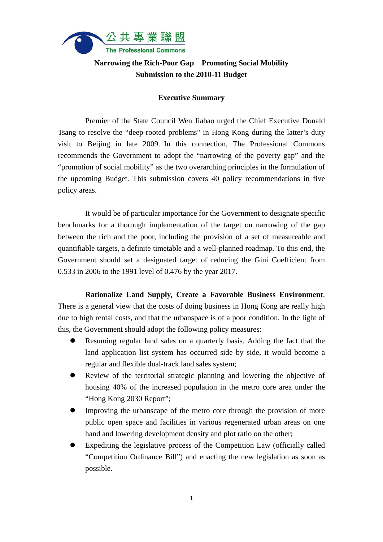

## **Narrowing the Rich-Poor Gap Promoting Social Mobility Submission to the 2010-11 Budget**

## **Executive Summary**

 Premier of the State Council Wen Jiabao urged the Chief Executive Donald Tsang to resolve the "deep-rooted problems" in Hong Kong during the latter's duty visit to Beijing in late 2009. In this connection, The Professional Commons recommends the Government to adopt the "narrowing of the poverty gap" and the "promotion of social mobility" as the two overarching principles in the formulation of the upcoming Budget. This submission covers 40 policy recommendations in five policy areas.

 It would be of particular importance for the Government to designate specific benchmarks for a thorough implementation of the target on narrowing of the gap between the rich and the poor, including the provision of a set of measureable and quantifiable targets, a definite timetable and a well-planned roadmap. To this end, the Government should set a designated target of reducing the Gini Coefficient from 0.533 in 2006 to the 1991 level of 0.476 by the year 2017.

 **Rationalize Land Supply, Create a Favorable Business Environment**. There is a general view that the costs of doing business in Hong Kong are really high due to high rental costs, and that the urbanspace is of a poor condition. In the light of this, the Government should adopt the following policy measures:

- Resuming regular land sales on a quarterly basis. Adding the fact that the land application list system has occurred side by side, it would become a regular and flexible dual-track land sales system;
- Review of the territorial strategic planning and lowering the objective of housing 40% of the increased population in the metro core area under the "Hong Kong 2030 Report";
- Improving the urbanscape of the metro core through the provision of more public open space and facilities in various regenerated urban areas on one hand and lowering development density and plot ratio on the other;
- Expediting the legislative process of the Competition Law (officially called "Competition Ordinance Bill") and enacting the new legislation as soon as possible.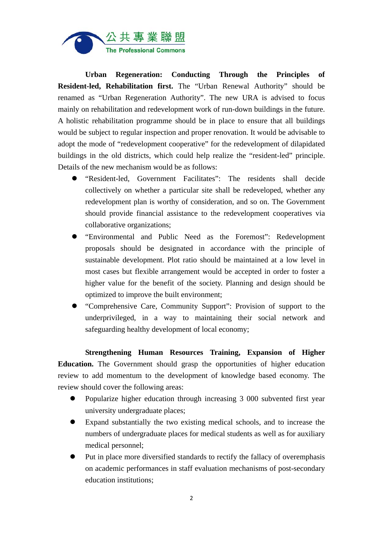

 **Urban Regeneration: Conducting Through the Principles of Resident-led, Rehabilitation first.** The "Urban Renewal Authority" should be renamed as "Urban Regeneration Authority". The new URA is advised to focus mainly on rehabilitation and redevelopment work of run-down buildings in the future. A holistic rehabilitation programme should be in place to ensure that all buildings would be subject to regular inspection and proper renovation. It would be advisable to adopt the mode of "redevelopment cooperative" for the redevelopment of dilapidated buildings in the old districts, which could help realize the "resident-led" principle. Details of the new mechanism would be as follows:

- "Resident-led, Government Facilitates": The residents shall decide collectively on whether a particular site shall be redeveloped, whether any redevelopment plan is worthy of consideration, and so on. The Government should provide financial assistance to the redevelopment cooperatives via collaborative organizations;
- "Environmental and Public Need as the Foremost": Redevelopment proposals should be designated in accordance with the principle of sustainable development. Plot ratio should be maintained at a low level in most cases but flexible arrangement would be accepted in order to foster a higher value for the benefit of the society. Planning and design should be optimized to improve the built environment;
- "Comprehensive Care, Community Support": Provision of support to the underprivileged, in a way to maintaining their social network and safeguarding healthy development of local economy;

 **Strengthening Human Resources Training, Expansion of Higher Education.** The Government should grasp the opportunities of higher education review to add momentum to the development of knowledge based economy. The review should cover the following areas:

- Popularize higher education through increasing 3 000 subvented first year university undergraduate places;
- Expand substantially the two existing medical schools, and to increase the numbers of undergraduate places for medical students as well as for auxiliary medical personnel;
- Put in place more diversified standards to rectify the fallacy of overemphasis on academic performances in staff evaluation mechanisms of post-secondary education institutions;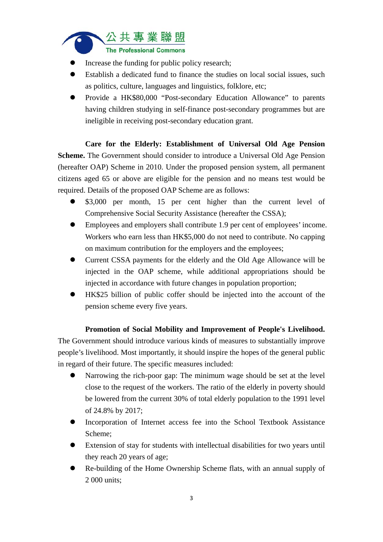

- Increase the funding for public policy research;
- Establish a dedicated fund to finance the studies on local social issues, such as politics, culture, languages and linguistics, folklore, etc;
- Provide a HK\$80,000 "Post-secondary Education Allowance" to parents having children studying in self-finance post-secondary programmes but are ineligible in receiving post-secondary education grant.

 **Care for the Elderly: Establishment of Universal Old Age Pension Scheme.** The Government should consider to introduce a Universal Old Age Pension (hereafter OAP) Scheme in 2010. Under the proposed pension system, all permanent citizens aged 65 or above are eligible for the pension and no means test would be required. Details of the proposed OAP Scheme are as follows:

- \$3,000 per month, 15 per cent higher than the current level of Comprehensive Social Security Assistance (hereafter the CSSA);
- Employees and employers shall contribute 1.9 per cent of employees' income. Workers who earn less than HK\$5,000 do not need to contribute. No capping on maximum contribution for the employers and the employees;
- Current CSSA payments for the elderly and the Old Age Allowance will be injected in the OAP scheme, while additional appropriations should be injected in accordance with future changes in population proportion;
- HK\$25 billion of public coffer should be injected into the account of the pension scheme every five years.

## **Promotion of Social Mobility and Improvement of People's Livelihood.**  The Government should introduce various kinds of measures to substantially improve people's livelihood. Most importantly, it should inspire the hopes of the general public in regard of their future. The specific measures included:

- Narrowing the rich-poor gap: The minimum wage should be set at the level close to the request of the workers. The ratio of the elderly in poverty should be lowered from the current 30% of total elderly population to the 1991 level of 24.8% by 2017;
- Incorporation of Internet access fee into the School Textbook Assistance Scheme;
- Extension of stay for students with intellectual disabilities for two years until they reach 20 years of age;
- Re-building of the Home Ownership Scheme flats, with an annual supply of 2 000 units;